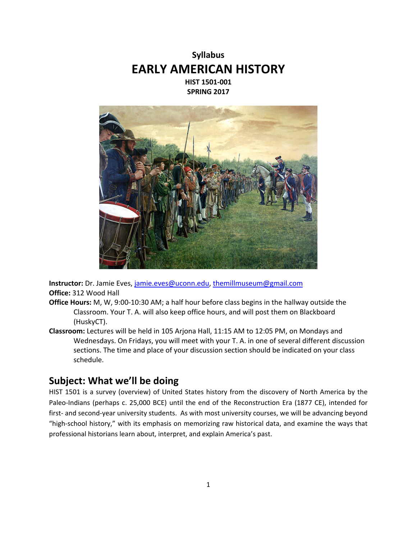



**Instructor:** Dr. Jamie Eves, [jamie.eves@uconn.edu,](mailto:jamie.eves@uconn.edu) [themillmuseum@gmail.com](mailto:themillmuseum@gmail.com) **Office:** 312 Wood Hall

- **Office Hours:** M, W, 9:00-10:30 AM; a half hour before class begins in the hallway outside the Classroom. Your T. A. will also keep office hours, and will post them on Blackboard (HuskyCT).
- **Classroom:** Lectures will be held in 105 Arjona Hall, 11:15 AM to 12:05 PM, on Mondays and Wednesdays. On Fridays, you will meet with your T. A. in one of several different discussion sections. The time and place of your discussion section should be indicated on your class schedule.

# **Subject: What we'll be doing**

HIST 1501 is a survey (overview) of United States history from the discovery of North America by the Paleo-Indians (perhaps c. 25,000 BCE) until the end of the Reconstruction Era (1877 CE), intended for first- and second-year university students. As with most university courses, we will be advancing beyond "high-school history," with its emphasis on memorizing raw historical data, and examine the ways that professional historians learn about, interpret, and explain America's past.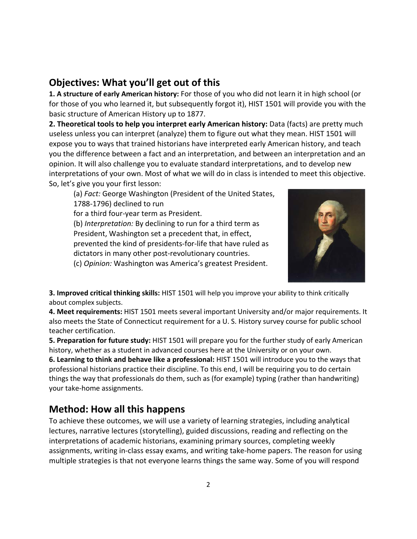# **Objectives: What you'll get out of this**

**1. A structure of early American history:** For those of you who did not learn it in high school (or for those of you who learned it, but subsequently forgot it), HIST 1501 will provide you with the basic structure of American History up to 1877.

**2. Theoretical tools to help you interpret early American history:** Data (facts) are pretty much useless unless you can interpret (analyze) them to figure out what they mean. HIST 1501 will expose you to ways that trained historians have interpreted early American history, and teach you the difference between a fact and an interpretation, and between an interpretation and an opinion. It will also challenge you to evaluate standard interpretations, and to develop new interpretations of your own. Most of what we will do in class is intended to meet this objective. So, let's give you your first lesson:

(a) *Fact:* George Washington (President of the United States, 1788-1796) declined to run

for a third four-year term as President.

(b) *Interpretation:* By declining to run for a third term as President, Washington set a precedent that, in effect, prevented the kind of presidents-for-life that have ruled as dictators in many other post-revolutionary countries. (c) *Opinion:* Washington was America's greatest President.



**3. Improved critical thinking skills:** HIST 1501 will help you improve your ability to think critically about complex subjects.

**4. Meet requirements:** HIST 1501 meets several important University and/or major requirements. It also meets the State of Connecticut requirement for a U. S. History survey course for public school teacher certification.

**5. Preparation for future study:** HIST 1501 will prepare you for the further study of early American history, whether as a student in advanced courses here at the University or on your own. **6. Learning to think and behave like a professional:** HIST 1501 will introduce you to the ways that professional historians practice their discipline. To this end, I will be requiring you to do certain things the way that professionals do them, such as (for example) typing (rather than handwriting) your take-home assignments.

# **Method: How all this happens**

To achieve these outcomes, we will use a variety of learning strategies, including analytical lectures, narrative lectures (storytelling), guided discussions, reading and reflecting on the interpretations of academic historians, examining primary sources, completing weekly assignments, writing in-class essay exams, and writing take-home papers. The reason for using multiple strategies is that not everyone learns things the same way. Some of you will respond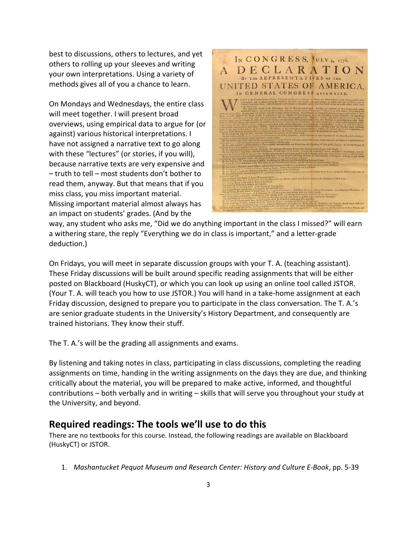best to discussions, others to lectures, and yet others to rolling up your sleeves and writing your own interpretations. Using a variety of methods gives all of you a chance to learn.

On Mondays and Wednesdays, the entire class will meet together. I will present broad overviews, using empirical data to argue for (or against) various historical interpretations. I have not assigned a narrative text to go along with these "lectures" (or stories, if you will), because narrative texts are very expensive and – truth to tell – most students don't bother to read them, anyway. But that means that if you miss class, you miss important material. Missing important material almost always has an impact on students' grades. (And by the



way, any student who asks me, "Did we do anything important in the class I missed?" will earn a withering stare, the reply "Everything we do in class is important," and a letter-grade deduction.)

On Fridays, you will meet in separate discussion groups with your T. A. (teaching assistant). These Friday discussions will be built around specific reading assignments that will be either posted on Blackboard (HuskyCT), or which you can look up using an online tool called JSTOR. (Your T. A. will teach you how to use JSTOR.) You will hand in a take-home assignment at each Friday discussion, designed to prepare you to participate in the class conversation. The T. A.'s are senior graduate students in the University's History Department, and consequently are trained historians. They know their stuff.

The T. A.'s will be the grading all assignments and exams.

By listening and taking notes in class, participating in class discussions, completing the reading assignments on time, handing in the writing assignments on the days they are due, and thinking critically about the material, you will be prepared to make active, informed, and thoughtful contributions – both verbally and in writing – skills that will serve you throughout your study at the University, and beyond.

### **Required readings: The tools we'll use to do this**

There are no textbooks for this course. Instead, the following readings are available on Blackboard (HuskyCT) or JSTOR.

1. *Mashantucket Pequot Museum and Research Center: History and Culture E-Book*, pp. 5-39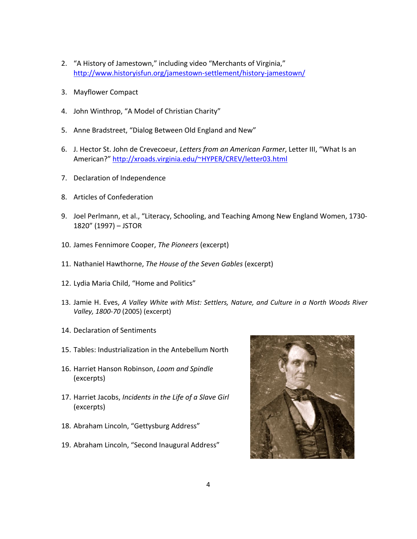- 2. "A History of Jamestown," including video "Merchants of Virginia," <http://www.historyisfun.org/jamestown-settlement/history-jamestown/>
- 3. Mayflower Compact
- 4. John Winthrop, "A Model of Christian Charity"
- 5. Anne Bradstreet, "Dialog Between Old England and New"
- 6. J. Hector St. John de Crevecoeur, *Letters from an American Farmer*, Letter III, "What Is an American?" [http://xroads.virginia.edu/~HYPER/CREV/letter03.html](http://xroads.virginia.edu/%7EHYPER/CREV/letter03.html)
- 7. Declaration of Independence
- 8. Articles of Confederation
- 9. Joel Perlmann, et al., "Literacy, Schooling, and Teaching Among New England Women, 1730- 1820" (1997) – JSTOR
- 10. James Fennimore Cooper, *The Pioneers* (excerpt)
- 11. Nathaniel Hawthorne, *The House of the Seven Gables* (excerpt)
- 12. Lydia Maria Child, "Home and Politics"
- 13. Jamie H. Eves, *A Valley White with Mist: Settlers, Nature, and Culture in a North Woods River Valley, 1800-70* (2005) (excerpt)
- 14. Declaration of Sentiments
- 15. Tables: Industrialization in the Antebellum North
- 16. Harriet Hanson Robinson, *Loom and Spindle*  (excerpts)
- 17. Harriet Jacobs, *Incidents in the Life of a Slave Girl* (excerpts)
- 18. Abraham Lincoln, "Gettysburg Address"
- 19. Abraham Lincoln, "Second Inaugural Address"

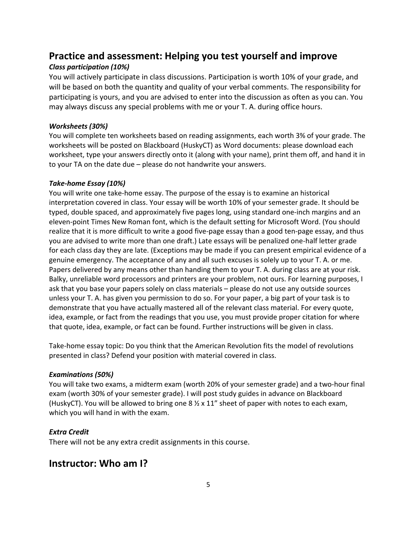# **Practice and assessment: Helping you test yourself and improve**

## *Class participation (10%)*

You will actively participate in class discussions. Participation is worth 10% of your grade, and will be based on both the quantity and quality of your verbal comments. The responsibility for participating is yours, and you are advised to enter into the discussion as often as you can. You may always discuss any special problems with me or your T. A. during office hours.

### *Worksheets (30%)*

You will complete ten worksheets based on reading assignments, each worth 3% of your grade. The worksheets will be posted on Blackboard (HuskyCT) as Word documents: please download each worksheet, type your answers directly onto it (along with your name), print them off, and hand it in to your TA on the date due – please do not handwrite your answers.

### *Take-home Essay (10%)*

You will write one take-home essay. The purpose of the essay is to examine an historical interpretation covered in class. Your essay will be worth 10% of your semester grade. It should be typed, double spaced, and approximately five pages long, using standard one-inch margins and an eleven-point Times New Roman font, which is the default setting for Microsoft Word. (You should realize that it is more difficult to write a good five-page essay than a good ten-page essay, and thus you are advised to write more than one draft.) Late essays will be penalized one-half letter grade for each class day they are late. (Exceptions may be made if you can present empirical evidence of a genuine emergency. The acceptance of any and all such excuses is solely up to your T. A. or me. Papers delivered by any means other than handing them to your T. A. during class are at your risk. Balky, unreliable word processors and printers are your problem, not ours. For learning purposes, I ask that you base your papers solely on class materials – please do not use any outside sources unless your T. A. has given you permission to do so. For your paper, a big part of your task is to demonstrate that you have actually mastered all of the relevant class material. For every quote, idea, example, or fact from the readings that you use, you must provide proper citation for where that quote, idea, example, or fact can be found. Further instructions will be given in class.

Take-home essay topic: Do you think that the American Revolution fits the model of revolutions presented in class? Defend your position with material covered in class.

## *Examinations (50%)*

You will take two exams, a midterm exam (worth 20% of your semester grade) and a two-hour final exam (worth 30% of your semester grade). I will post study guides in advance on Blackboard (HuskyCT). You will be allowed to bring one  $8 \frac{1}{2} \times 11$ " sheet of paper with notes to each exam, which you will hand in with the exam.

## *Extra Credit*

There will not be any extra credit assignments in this course.

# **Instructor: Who am I?**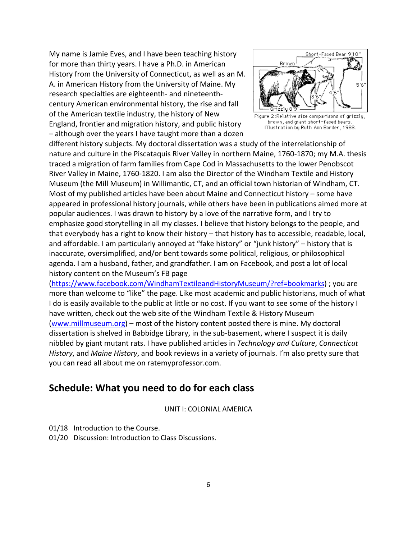My name is Jamie Eves, and I have been teaching history for more than thirty years. I have a Ph.D. in American History from the University of Connecticut, as well as an M. A. in American History from the University of Maine. My research specialties are eighteenth- and nineteenthcentury American environmental history, the rise and fall of the American textile industry, the history of New England, frontier and migration history, and public history – although over the years I have taught more than a dozen



Figure 2:Relative size comparisons of grizzly, brown, and giant short-faced bears. Illustration by Ruth Ann Border, 1988.

different history subjects. My doctoral dissertation was a study of the interrelationship of nature and culture in the Piscataquis River Valley in northern Maine, 1760-1870; my M.A. thesis traced a migration of farm families from Cape Cod in Massachusetts to the lower Penobscot River Valley in Maine, 1760-1820. I am also the Director of the Windham Textile and History Museum (the Mill Museum) in Willimantic, CT, and an official town historian of Windham, CT. Most of my published articles have been about Maine and Connecticut history – some have appeared in professional history journals, while others have been in publications aimed more at popular audiences. I was drawn to history by a love of the narrative form, and I try to emphasize good storytelling in all my classes. I believe that history belongs to the people, and that everybody has a right to know their history – that history has to accessible, readable, local, and affordable. I am particularly annoyed at "fake history" or "junk history" – history that is inaccurate, oversimplified, and/or bent towards some political, religious, or philosophical agenda. I am a husband, father, and grandfather. I am on Facebook, and post a lot of local history content on the Museum's FB page

[\(https://www.facebook.com/WindhamTextileandHistoryMuseum/?ref=bookmarks\)](https://www.facebook.com/WindhamTextileandHistoryMuseum/?ref=bookmarks) ; you are more than welcome to "like" the page. Like most academic and public historians, much of what I do is easily available to the public at little or no cost. If you want to see some of the history I have written, check out the web site of the Windham Textile & History Museum [\(www.millmuseum.org\)](http://www.millmuseum.org/) – most of the history content posted there is mine. My doctoral dissertation is shelved in Babbidge Library, in the sub-basement, where I suspect it is daily nibbled by giant mutant rats. I have published articles in *Technology and Culture*, *Connecticut History*, and *Maine History*, and book reviews in a variety of journals. I'm also pretty sure that you can read all about me on ratemyprofessor.com.

## **Schedule: What you need to do for each class**

UNIT I: COLONIAL AMERICA

01/18 Introduction to the Course.

01/20 Discussion: Introduction to Class Discussions.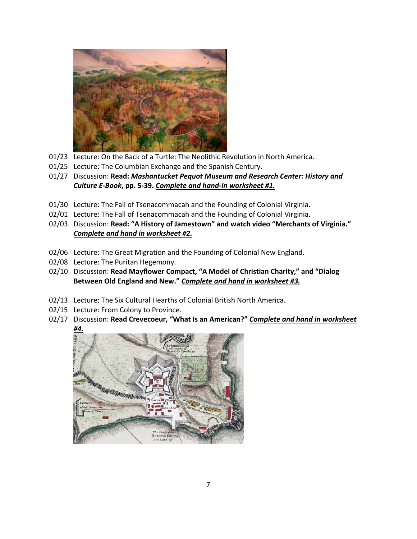

- 01/23 Lecture: On the Back of a Turtle: The Neolithic Revolution in North America.
- 01/25 Lecture: The Columbian Exchange and the Spanish Century.
- 01/27 Discussion: **Read:** *Mashantucket Pequot Museum and Research Center: History and Culture E-Book***, pp. 5-39.** *Complete and hand-in worksheet #1.*
- 01/30 Lecture: The Fall of Tsenacommacah and the Founding of Colonial Virginia.
- 02/01 Lecture: The Fall of Tsenacommacah and the Founding of Colonial Virginia.
- 02/03 Discussion: **Read: "A History of Jamestown" and watch video "Merchants of Virginia."** *Complete and hand in worksheet #2.*
- 02/06 Lecture: The Great Migration and the Founding of Colonial New England.
- 02/08 Lecture: The Puritan Hegemony.
- 02/10 Discussion: **Read Mayflower Compact, "A Model of Christian Charity," and "Dialog Between Old England and New."** *Complete and hand in worksheet #3.*
- 02/13 Lecture: The Six Cultural Hearths of Colonial British North America.
- 02/15 Lecture: From Colony to Province.
- 02/17 Discussion: **Read Crevecoeur, "What Is an American?"** *Complete and hand in worksheet #4.*

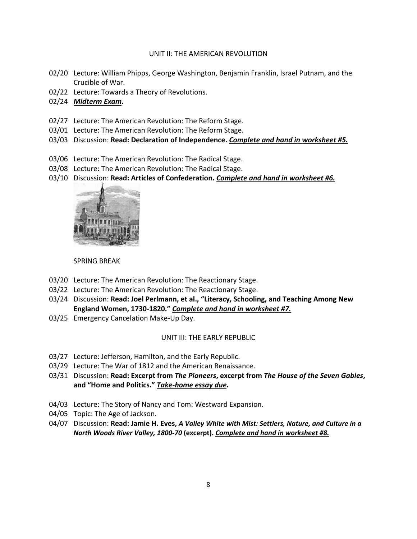#### UNIT II: THE AMERICAN REVOLUTION

- 02/20 Lecture: William Phipps, George Washington, Benjamin Franklin, Israel Putnam, and the Crucible of War.
- 02/22 Lecture: Towards a Theory of Revolutions.
- 02/24 *Midterm Exam***.**
- 02/27 Lecture: The American Revolution: The Reform Stage.
- 03/01 Lecture: The American Revolution: The Reform Stage.
- 03/03 Discussion: **Read: Declaration of Independence.** *Complete and hand in worksheet #5.*
- 03/06 Lecture: The American Revolution: The Radical Stage.
- 03/08 Lecture: The American Revolution: The Radical Stage.
- 03/10 Discussion: **Read: Articles of Confederation.** *Complete and hand in worksheet #6.*



#### SPRING BREAK

- 03/20 Lecture: The American Revolution: The Reactionary Stage.
- 03/22 Lecture: The American Revolution: The Reactionary Stage.
- 03/24 Discussion: **Read: Joel Perlmann, et al., "Literacy, Schooling, and Teaching Among New England Women, 1730-1820."** *Complete and hand in worksheet #7.*
- 03/25 Emergency Cancelation Make-Up Day.

#### UNIT III: THE EARLY REPUBLIC

- 03/27 Lecture: Jefferson, Hamilton, and the Early Republic.
- 03/29 Lecture: The War of 1812 and the American Renaissance.
- 03/31 Discussion: **Read: Excerpt from** *The Pioneers***, excerpt from** *The House of the Seven Gables***, and "Home and Politics."** *Take-home essay due.*
- 04/03 Lecture: The Story of Nancy and Tom: Westward Expansion.
- 04/05 Topic: The Age of Jackson.
- 04/07 Discussion: **Read: Jamie H. Eves,** *A Valley White with Mist: Settlers, Nature, and Culture in a North Woods River Valley, 1800-70* **(excerpt).** *Complete and hand in worksheet #8.*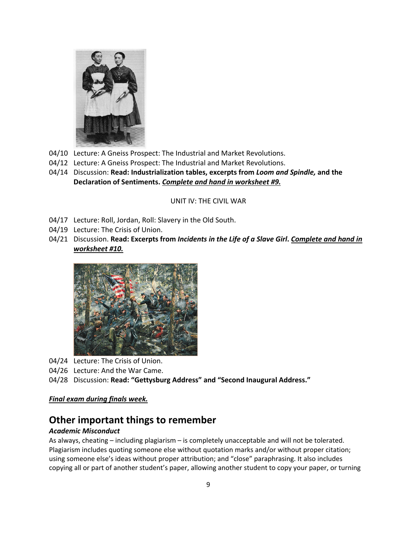

- 04/10 Lecture: A Gneiss Prospect: The Industrial and Market Revolutions.
- 04/12 Lecture: A Gneiss Prospect: The Industrial and Market Revolutions.
- 04/14 Discussion: **Read: Industrialization tables, excerpts from** *Loom and Spindle,* **and the Declaration of Sentiments.** *Complete and hand in worksheet #9.*

#### UNIT IV: THE CIVIL WAR

- 04/17 Lecture: Roll, Jordan, Roll: Slavery in the Old South.
- 04/19 Lecture: The Crisis of Union.
- 04/21 Discussion. **Read: Excerpts from** *Incidents in the Life of a Slave Girl***.** *Complete and hand in worksheet #10.*



- 04/24 Lecture: The Crisis of Union.
- 04/26 Lecture: And the War Came.
- 04/28 Discussion: **Read: "Gettysburg Address" and "Second Inaugural Address."**

#### *Final exam during finals week.*

## **Other important things to remember**

#### *Academic Misconduct*

As always, cheating – including plagiarism – is completely unacceptable and will not be tolerated. Plagiarism includes quoting someone else without quotation marks and/or without proper citation; using someone else's ideas without proper attribution; and "close" paraphrasing. It also includes copying all or part of another student's paper, allowing another student to copy your paper, or turning